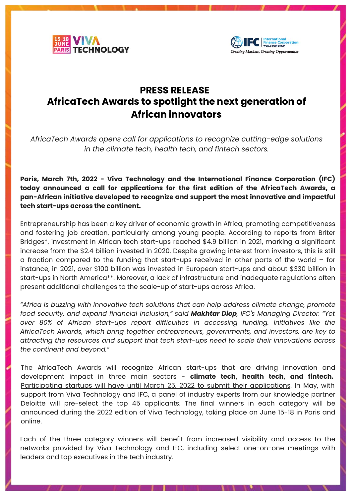



## **PRESS RELEASE AfricaTech Awards to spotlight the next generation of African innovators**

*AfricaTech Awards opens call for applications to recognize cutting-edge solutions in the climate tech, health tech, and fintech sectors.* 

**Paris, March 7th, 2022 - Viva Technology and the International Finance Corporation (IFC) today announced a call for applications for the first edition of the AfricaTech Awards, a pan-African initiative developed to recognize and support the most innovative and impactful tech start-ups across the continent.**

Entrepreneurship has been a key driver of economic growth in Africa, promoting competitiveness and fostering job creation, particularly among young people. According to reports from Briter Bridges\*, investment in African tech start-ups reached \$4.9 billion in 2021, marking a significant increase from the \$2.4 billion invested in 2020. Despite growing interest from investors, this is still a fraction compared to the funding that start-ups received in other parts of the world – for instance, in 2021, over \$100 billion was invested in European start-ups and about \$330 billion in start-ups in North America\*\*. Moreover, a lack of infrastructure and inadequate regulations often present additional challenges to the scale-up of start-ups across Africa.

*"Africa is buzzing with innovative tech solutions that can help address climate change, promote food security, and expand financial inclusion," said Makhtar Diop, IFC's Managing Director. "Yet over 80% of African start-ups report difficulties in accessing funding. Initiatives like the AfricaTech Awards, which bring together entrepreneurs, governments, and investors, are key to attracting the resources and support that tech start-ups need to scale their innovations across the continent and beyond."*

The AfricaTech Awards will recognize African start-ups that are driving innovation and development impact in three main sectors - **climate tech, health tech, and fintech[.](https://challenges.vivatechnology.com/en/challenges/africatech-awards?lang=en)** [Participating startups will have until March 25, 2022 to submit their applications](https://challenges.vivatechnology.com/en/challenges/africatech-awards?lang=en). In May, with support from Viva Technology and IFC, a panel of industry experts from our knowledge partner Deloitte will pre-select the top 45 applicants. The final winners in each category will be announced during the 2022 edition of Viva Technology, taking place on June 15-18 in Paris and online.

Each of the three category winners will benefit from increased visibility and access to the networks provided by Viva Technology and IFC, including select one-on-one meetings with leaders and top executives in the tech industry.